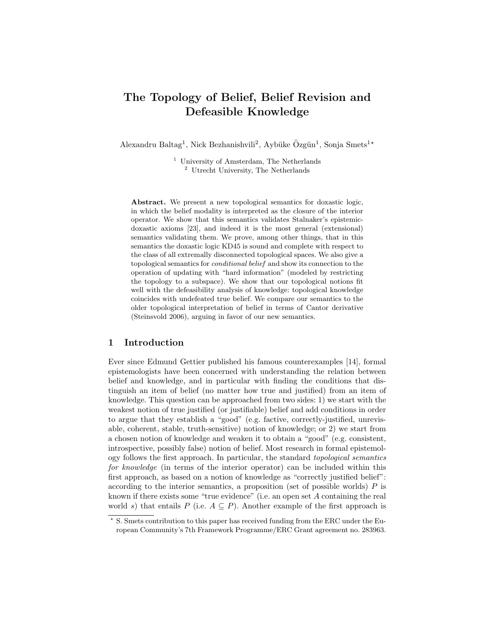# The Topology of Belief, Belief Revision and Defeasible Knowledge

Alexandru Baltag<sup>1</sup>, Nick Bezhanishvili<sup>2</sup>, Aybüke Özgün<sup>1</sup>, Sonja Smets<sup>1\*</sup>

 $1$  University of Amsterdam, The Netherlands <sup>2</sup> Utrecht University, The Netherlands

Abstract. We present a new topological semantics for doxastic logic, in which the belief modality is interpreted as the closure of the interior operator. We show that this semantics validates Stalnaker's epistemicdoxastic axioms [23], and indeed it is the most general (extensional) semantics validating them. We prove, among other things, that in this semantics the doxastic logic KD45 is sound and complete with respect to the class of all extremally disconnected topological spaces. We also give a topological semantics for conditional belief and show its connection to the operation of updating with "hard information" (modeled by restricting the topology to a subspace). We show that our topological notions fit well with the defeasibility analysis of knowledge: topological knowledge coincides with undefeated true belief. We compare our semantics to the older topological interpretation of belief in terms of Cantor derivative (Steinsvold 2006), arguing in favor of our new semantics.

### 1 Introduction

Ever since Edmund Gettier published his famous counterexamples [14], formal epistemologists have been concerned with understanding the relation between belief and knowledge, and in particular with finding the conditions that distinguish an item of belief (no matter how true and justified) from an item of knowledge. This question can be approached from two sides: 1) we start with the weakest notion of true justified (or justifiable) belief and add conditions in order to argue that they establish a "good" (e.g. factive, correctly-justified, unrevisable, coherent, stable, truth-sensitive) notion of knowledge; or 2) we start from a chosen notion of knowledge and weaken it to obtain a "good" (e.g. consistent, introspective, possibly false) notion of belief. Most research in formal epistemology follows the first approach. In particular, the standard topological semantics for knowledge (in terms of the interior operator) can be included within this first approach, as based on a notion of knowledge as "correctly justified belief": according to the interior semantics, a proposition (set of possible worlds)  $P$  is known if there exists some "true evidence" (i.e. an open set A containing the real world s) that entails P (i.e.  $A \subseteq P$ ). Another example of the first approach is

<sup>?</sup> S. Smets contribution to this paper has received funding from the ERC under the European Community's 7th Framework Programme/ERC Grant agreement no. 283963.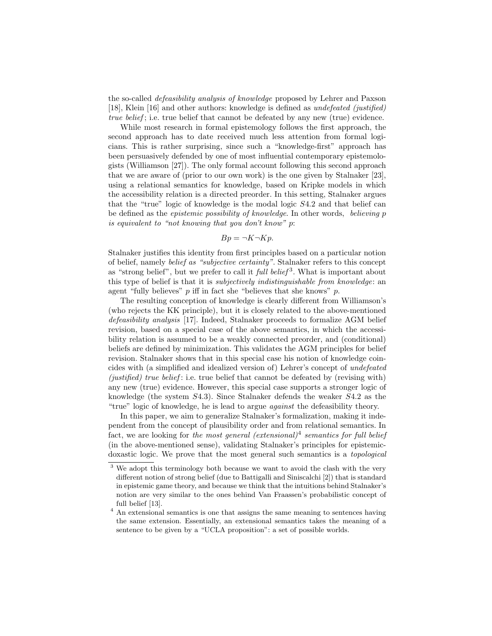the so-called defeasibility analysis of knowledge proposed by Lehrer and Paxson [18], Klein [16] and other authors: knowledge is defined as *undefeated (justified)* true belief ; i.e. true belief that cannot be defeated by any new (true) evidence.

While most research in formal epistemology follows the first approach, the second approach has to date received much less attention from formal logicians. This is rather surprising, since such a "knowledge-first" approach has been persuasively defended by one of most influential contemporary epistemologists (Williamson [27]). The only formal account following this second approach that we are aware of (prior to our own work) is the one given by Stalnaker [23], using a relational semantics for knowledge, based on Kripke models in which the accessibility relation is a directed preorder. In this setting, Stalnaker argues that the "true" logic of knowledge is the modal logic S4.2 and that belief can be defined as the epistemic possibility of knowledge. In other words, believing p is equivalent to "not knowing that you don't know" p:

$$
Bp = \neg K \neg Kp.
$$

Stalnaker justifies this identity from first principles based on a particular notion of belief, namely belief as "subjective certainty". Stalnaker refers to this concept as "strong belief", but we prefer to call it *full belief*<sup>3</sup>. What is important about this type of belief is that it is subjectively indistinguishable from knowledge: an agent "fully believes"  $p$  iff in fact she "believes that she knows"  $p$ .

The resulting conception of knowledge is clearly different from Williamson's (who rejects the KK principle), but it is closely related to the above-mentioned defeasibility analysis [17]. Indeed, Stalnaker proceeds to formalize AGM belief revision, based on a special case of the above semantics, in which the accessibility relation is assumed to be a weakly connected preorder, and (conditional) beliefs are defined by minimization. This validates the AGM principles for belief revision. Stalnaker shows that in this special case his notion of knowledge coincides with (a simplified and idealized version of) Lehrer's concept of undefeated  $(justified)$  true belief: i.e. true belief that cannot be defeated by (revising with) any new (true) evidence. However, this special case supports a stronger logic of knowledge (the system S4.3). Since Stalnaker defends the weaker S4.2 as the "true" logic of knowledge, he is lead to argue against the defeasibility theory.

In this paper, we aim to generalize Stalnaker's formalization, making it independent from the concept of plausibility order and from relational semantics. In fact, we are looking for the most general (extensional)<sup>4</sup> semantics for full belief (in the above-mentioned sense), validating Stalnaker's principles for epistemicdoxastic logic. We prove that the most general such semantics is a topological

<sup>&</sup>lt;sup>3</sup> We adopt this terminology both because we want to avoid the clash with the very different notion of strong belief (due to Battigalli and Siniscalchi [2]) that is standard in epistemic game theory, and because we think that the intuitions behind Stalnaker's notion are very similar to the ones behind Van Fraassen's probabilistic concept of full belief [13].

<sup>&</sup>lt;sup>4</sup> An extensional semantics is one that assigns the same meaning to sentences having the same extension. Essentially, an extensional semantics takes the meaning of a sentence to be given by a "UCLA proposition": a set of possible worlds.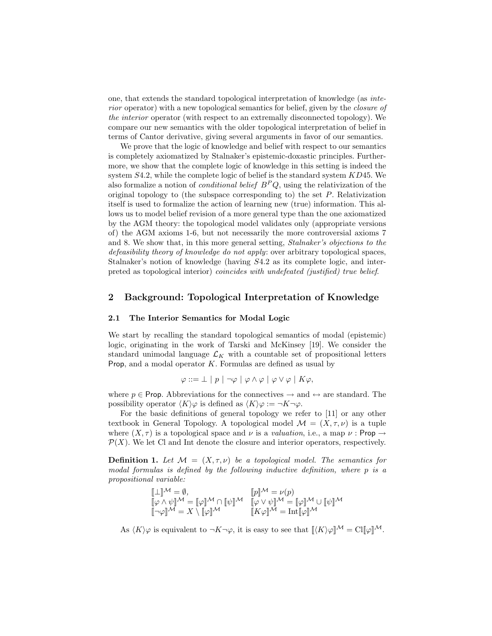one, that extends the standard topological interpretation of knowledge (as interior operator) with a new topological semantics for belief, given by the closure of the interior operator (with respect to an extremally disconnected topology). We compare our new semantics with the older topological interpretation of belief in terms of Cantor derivative, giving several arguments in favor of our semantics.

We prove that the logic of knowledge and belief with respect to our semantics is completely axiomatized by Stalnaker's epistemic-doxastic principles. Furthermore, we show that the complete logic of knowledge in this setting is indeed the system  $S4.2$ , while the complete logic of belief is the standard system  $KD45$ . We also formalize a notion of *conditional belief*  $B^P Q$ , using the relativization of the original topology to (the subspace corresponding to) the set P. Relativization itself is used to formalize the action of learning new (true) information. This allows us to model belief revision of a more general type than the one axiomatized by the AGM theory: the topological model validates only (appropriate versions of) the AGM axioms 1-6, but not necessarily the more controversial axioms 7 and 8. We show that, in this more general setting, Stalnaker's objections to the defeasibility theory of knowledge do not apply: over arbitrary topological spaces, Stalnaker's notion of knowledge (having S4.2 as its complete logic, and interpreted as topological interior) coincides with undefeated (justified) true belief.

# 2 Background: Topological Interpretation of Knowledge

#### 2.1 The Interior Semantics for Modal Logic

We start by recalling the standard topological semantics of modal (epistemic) logic, originating in the work of Tarski and McKinsey [19]. We consider the standard unimodal language  $\mathcal{L}_K$  with a countable set of propositional letters **Prop**, and a modal operator  $K$ . Formulas are defined as usual by

$$
\varphi ::= \bot | p | \neg \varphi | \varphi \wedge \varphi | \varphi \vee \varphi | K \varphi,
$$

where  $p \in$  Prop. Abbreviations for the connectives  $\rightarrow$  and  $\leftrightarrow$  are standard. The possibility operator  $\langle K \rangle \varphi$  is defined as  $\langle K \rangle \varphi := \neg K \neg \varphi$ .

For the basic definitions of general topology we refer to [11] or any other textbook in General Topology. A topological model  $\mathcal{M} = (X, \tau, \nu)$  is a tuple where  $(X, \tau)$  is a topological space and  $\nu$  is a valuation, i.e., a map  $\nu$ : Prop  $\rightarrow$  $\mathcal{P}(X)$ . We let Cl and Int denote the closure and interior operators, respectively.

**Definition 1.** Let  $\mathcal{M} = (X, \tau, \nu)$  be a topological model. The semantics for modal formulas is defined by the following inductive definition, where p is a propositional variable:

$$
\begin{array}{lll} [\![\bot]\!]^\mathcal{M} = \emptyset, & [\![p]\!]^\mathcal{M} = \nu(p) \\ \hline [\![\varphi \wedge \psi]\!]^\mathcal{M} = [\![\varphi]\!]^\mathcal{M} & [\![\varphi]\!]^\mathcal{M} & [\![\varphi \vee \psi]\!]^\mathcal{M} = [\![\varphi]\!]^\mathcal{M} \cup [\![\psi]\!]^\mathcal{M} \\ \hline [\![\neg \varphi]\!]^\mathcal{M} = X \setminus [\![\varphi]\!]^\mathcal{M} & [\![K\varphi]\!]^\mathcal{M} = \mathrm{Int}[\![\varphi]\!]^\mathcal{M} \end{array}
$$

As  $\langle K \rangle \varphi$  is equivalent to  $\neg K \neg \varphi$ , it is easy to see that  $\langle K \rangle \varphi \gamma^M = \mathrm{Cl} \mathbb{I} \varphi \gamma^M$ .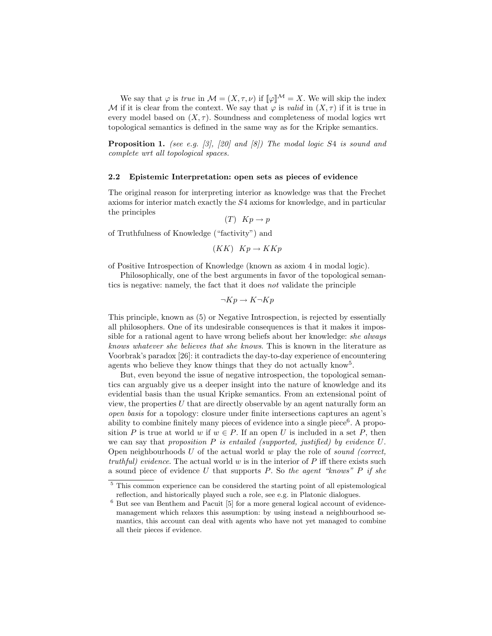We say that  $\varphi$  is true in  $\mathcal{M} = (X, \tau, \nu)$  if  $[\![\varphi]\!]^{\mathcal{M}} = X$ . We will skip the index M if it is clear from the context. We say that  $\varphi$  is valid in  $(X, \tau)$  if it is true in every model based on  $(X, \tau)$ . Soundness and completeness of modal logics wrt topological semantics is defined in the same way as for the Kripke semantics.

**Proposition 1.** (see e.g.  $[3]$ ,  $[20]$  and  $[8]$ ) The modal logic S4 is sound and complete wrt all topological spaces.

### 2.2 Epistemic Interpretation: open sets as pieces of evidence

The original reason for interpreting interior as knowledge was that the Frechet axioms for interior match exactly the S4 axioms for knowledge, and in particular the principles

 $(T)$   $Kp \rightarrow p$ 

of Truthfulness of Knowledge ("factivity") and

 $(KK)$   $Kp \rightarrow KKp$ 

of Positive Introspection of Knowledge (known as axiom 4 in modal logic).

Philosophically, one of the best arguments in favor of the topological semantics is negative: namely, the fact that it does not validate the principle

$$
\neg Kp \to K\neg Kp
$$

This principle, known as (5) or Negative Introspection, is rejected by essentially all philosophers. One of its undesirable consequences is that it makes it impossible for a rational agent to have wrong beliefs about her knowledge: she always knows whatever she believes that she knows. This is known in the literature as Voorbrak's paradox [26]: it contradicts the day-to-day experience of encountering agents who believe they know things that they do not actually know<sup>5</sup>.

But, even beyond the issue of negative introspection, the topological semantics can arguably give us a deeper insight into the nature of knowledge and its evidential basis than the usual Kripke semantics. From an extensional point of view, the properties  $U$  that are directly observable by an agent naturally form an open basis for a topology: closure under finite intersections captures an agent's ability to combine finitely many pieces of evidence into a single piece $6$ . A proposition P is true at world w if  $w \in P$ . If an open U is included in a set P, then we can say that proposition  $P$  is entailed (supported, justified) by evidence  $U$ . Open neighbourhoods U of the actual world w play the role of sound (correct, truthful) evidence. The actual world w is in the interior of  $P$  iff there exists such a sound piece of evidence U that supports P. So the agent "knows" P if she

<sup>&</sup>lt;sup>5</sup> This common experience can be considered the starting point of all epistemological reflection, and historically played such a role, see e.g. in Platonic dialogues.

 $6$  But see van Benthem and Pacuit [5] for a more general logical account of evidencemanagement which relaxes this assumption: by using instead a neighbourhood semantics, this account can deal with agents who have not yet managed to combine all their pieces if evidence.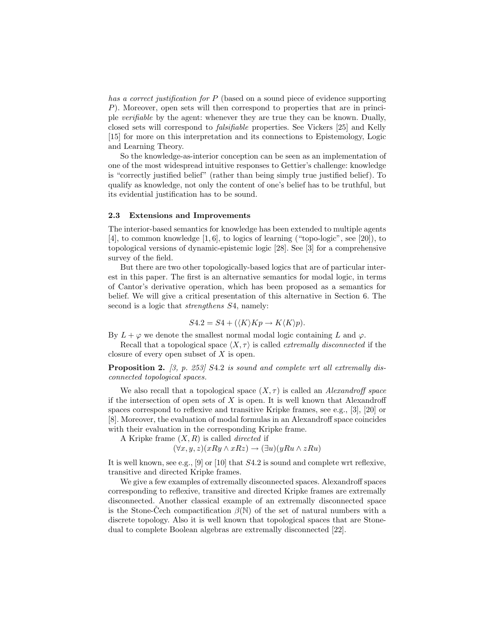has a correct justification for P (based on a sound piece of evidence supporting P). Moreover, open sets will then correspond to properties that are in principle verifiable by the agent: whenever they are true they can be known. Dually, closed sets will correspond to falsifiable properties. See Vickers [25] and Kelly [15] for more on this interpretation and its connections to Epistemology, Logic and Learning Theory.

So the knowledge-as-interior conception can be seen as an implementation of one of the most widespread intuitive responses to Gettier's challenge: knowledge is "correctly justified belief" (rather than being simply true justified belief). To qualify as knowledge, not only the content of one's belief has to be truthful, but its evidential justification has to be sound.

#### 2.3 Extensions and Improvements

The interior-based semantics for knowledge has been extended to multiple agents [4], to common knowledge [1, 6], to logics of learning ("topo-logic", see [20]), to topological versions of dynamic-epistemic logic [28]. See [3] for a comprehensive survey of the field.

But there are two other topologically-based logics that are of particular interest in this paper. The first is an alternative semantics for modal logic, in terms of Cantor's derivative operation, which has been proposed as a semantics for belief. We will give a critical presentation of this alternative in Section 6. The second is a logic that *strengthens*  $S4$ , namely:

$$
S4.2 = S4 + (\langle K \rangle Kp \to K \langle K \rangle p).
$$

By  $L + \varphi$  we denote the smallest normal modal logic containing L and  $\varphi$ .

Recall that a topological space  $\langle X, \tau \rangle$  is called *extremally disconnected* if the closure of every open subset of X is open.

**Proposition 2.** [3, p. 253] S4.2 is sound and complete wrt all extremally disconnected topological spaces.

We also recall that a topological space  $(X, \tau)$  is called an *Alexandroff space* if the intersection of open sets of  $X$  is open. It is well known that Alexandroff spaces correspond to reflexive and transitive Kripke frames, see e.g., [3], [20] or [8]. Moreover, the evaluation of modal formulas in an Alexandroff space coincides with their evaluation in the corresponding Kripke frame.

A Kripke frame  $(X, R)$  is called *directed* if

 $(\forall x, y, z)(xRy \land xRz) \rightarrow (\exists u)(yRu \land zRu)$ 

It is well known, see e.g., [9] or [10] that S4.2 is sound and complete wrt reflexive, transitive and directed Kripke frames.

We give a few examples of extremally disconnected spaces. Alexandroff spaces corresponding to reflexive, transitive and directed Kripke frames are extremally disconnected. Another classical example of an extremally disconnected space is the Stone-Cech compactification  $\beta(\mathbb{N})$  of the set of natural numbers with a discrete topology. Also it is well known that topological spaces that are Stonedual to complete Boolean algebras are extremally disconnected [22].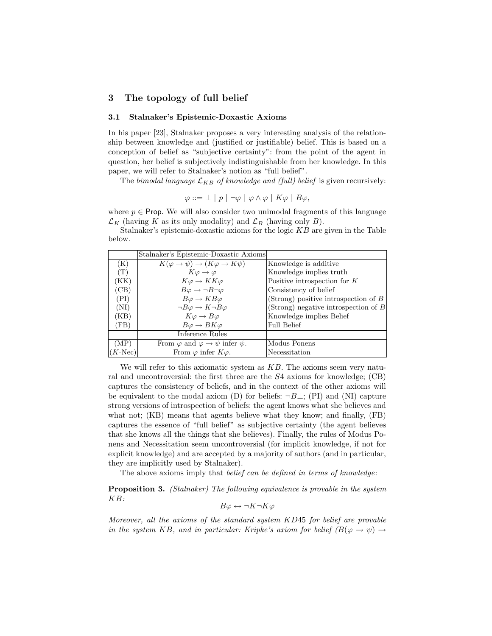# 3 The topology of full belief

### 3.1 Stalnaker's Epistemic-Doxastic Axioms

In his paper [23], Stalnaker proposes a very interesting analysis of the relationship between knowledge and (justified or justifiable) belief. This is based on a conception of belief as "subjective certainty": from the point of the agent in question, her belief is subjectively indistinguishable from her knowledge. In this paper, we will refer to Stalnaker's notion as "full belief".

The bimodal language  $\mathcal{L}_{KB}$  of knowledge and (full) belief is given recursively:

$$
\varphi ::= \bot \mid p \mid \neg \varphi \mid \varphi \land \varphi \mid K\varphi \mid B\varphi,
$$

where  $p \in$  Prop. We will also consider two unimodal fragments of this language  $\mathcal{L}_K$  (having K as its only modality) and  $\mathcal{L}_B$  (having only B).

Stalnaker's epistemic-doxastic axioms for the logic  $KB$  are given in the Table below.

|               | Stalnaker's Epistemic-Doxastic Axioms                |                                        |
|---------------|------------------------------------------------------|----------------------------------------|
| (K)           | $K(\varphi \to \psi) \to (K\varphi \to K\psi)$       | Knowledge is additive.                 |
| (T)           | $K\varphi \rightarrow \varphi$                       | Knowledge implies truth                |
| (KK)          | $K\varphi \to KK\varphi$                             | Positive introspection for $K$         |
| (CB)          | $B\varphi \to \neg B\neg \varphi$                    | Consistency of belief                  |
| (PI)          | $B\varphi \to KB\varphi$                             | (Strong) positive introspection of $B$ |
| (NI)          | $\neg B\varphi \rightarrow K \neg B\varphi$          | (Strong) negative introspection of $B$ |
| (KB)          | $K\varphi \to B\varphi$                              | Knowledge implies Belief               |
| (FB)          | $B\varphi \to BK\varphi$                             | <b>Full Belief</b>                     |
|               | Inference Rules                                      |                                        |
| (MP)          | From $\varphi$ and $\varphi \to \psi$ infer $\psi$ . | Modus Ponens                           |
| $(K$ -Nec $)$ | From $\varphi$ infer $K\varphi$ .                    | Necessitation                          |

We will refer to this axiomatic system as  $KB$ . The axioms seem very natural and uncontroversial: the first three are the S4 axioms for knowledge; (CB) captures the consistency of beliefs, and in the context of the other axioms will be equivalent to the modal axiom (D) for beliefs:  $\neg B \perp$ ; (PI) and (NI) capture strong versions of introspection of beliefs: the agent knows what she believes and what not; (KB) means that agents believe what they know; and finally, (FB) captures the essence of "full belief" as subjective certainty (the agent believes that she knows all the things that she believes). Finally, the rules of Modus Ponens and Necessitation seem uncontroversial (for implicit knowledge, if not for explicit knowledge) and are accepted by a majority of authors (and in particular, they are implicitly used by Stalnaker).

The above axioms imply that *belief* can be defined in terms of knowledge:

Proposition 3. (Stalnaker) The following equivalence is provable in the system KB:

$$
B\varphi \leftrightarrow \neg K\neg K\varphi
$$

Moreover, all the axioms of the standard system KD45 for belief are provable in the system KB, and in particular: Kripke's axiom for belief  $(B(\varphi \to \psi) \to$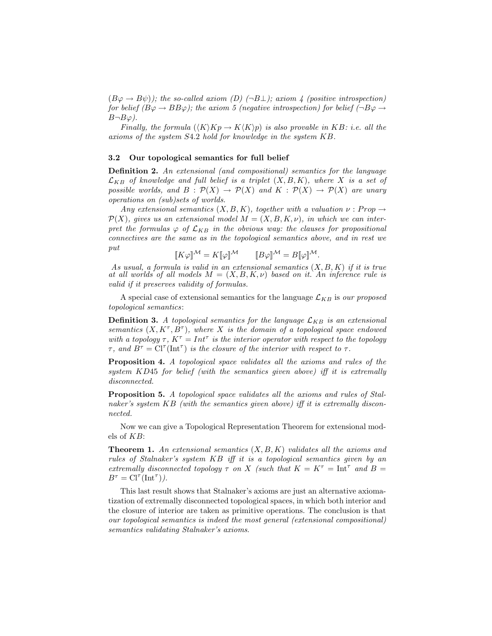$(B\varphi \to B\psi)$ ; the so-called axiom (D)  $(\neg B\bot)$ ; axiom 4 (positive introspection) for belief  $(B\varphi \to BB\varphi)$ ; the axiom 5 (negative introspection) for belief  $\Box B\varphi \to$  $B\neg B\varphi$ ).

Finally, the formula  $(\langle K \rangle Kp \to K \langle K \rangle p)$  is also provable in KB: i.e. all the axioms of the system S4.2 hold for knowledge in the system KB.

#### 3.2 Our topological semantics for full belief

Definition 2. An extensional (and compositional) semantics for the language  $\mathcal{L}_{KB}$  of knowledge and full belief is a triplet  $(X, B, K)$ , where X is a set of possible worlds, and  $B : \mathcal{P}(X) \to \mathcal{P}(X)$  and  $K : \mathcal{P}(X) \to \mathcal{P}(X)$  are unary operations on (sub)sets of worlds.

Any extensional semantics  $(X, B, K)$ , together with a valuation  $\nu : Prop \rightarrow$  $\mathcal{P}(X)$ , gives us an extensional model  $M = (X, B, K, \nu)$ , in which we can interpret the formulas  $\varphi$  of  $\mathcal{L}_{KB}$  in the obvious way: the clauses for propositional connectives are the same as in the topological semantics above, and in rest we put

 $\llbracket K\varphi \rrbracket^{\mathcal{M}} = K\llbracket \varphi \rrbracket^{\mathcal{M}} \qquad \llbracket B\varphi \rrbracket^{\mathcal{M}} = B\llbracket \varphi \rrbracket^{\mathcal{M}}.$ 

As usual, a formula is valid in an extensional semantics  $(X, B, K)$  if it is true at all worlds of all models  $M = (X, B, K, \nu)$  based on it. An inference rule is valid if it preserves validity of formulas.

A special case of extensional semantics for the language  $\mathcal{L}_{KB}$  is our proposed topological semantics:

**Definition 3.** A topological semantics for the language  $\mathcal{L}_{KB}$  is an extensional semantics  $(X, K^{\tau}, B^{\tau})$ , where X is the domain of a topological space endowed with a topology  $\tau$ ,  $K^{\tau} = Int^{\tau}$  is the interior operator with respect to the topology  $\tau$ , and  $B^{\tau} = \text{Cl}^{\tau}(\text{Int}^{\tau})$  is the closure of the interior with respect to  $\tau$ .

Proposition 4. A topological space validates all the axioms and rules of the system KD45 for belief (with the semantics given above) iff it is extremally disconnected.

Proposition 5. A topological space validates all the axioms and rules of Stalnaker's system KB (with the semantics given above) iff it is extremally disconnected.

Now we can give a Topological Representation Theorem for extensional models of KB:

**Theorem 1.** An extensional semantics  $(X, B, K)$  validates all the axioms and rules of Stalnaker's system KB iff it is a topological semantics given by an extremally disconnected topology  $\tau$  on X (such that  $K = K^{\tau} = \text{Int}^{\tau}$  and  $B =$  $B^{\tau} = \text{Cl}^{\tau}(\text{Int}^{\tau}).$ 

This last result shows that Stalnaker's axioms are just an alternative axiomatization of extremally disconnected topological spaces, in which both interior and the closure of interior are taken as primitive operations. The conclusion is that our topological semantics is indeed the most general (extensional compositional) semantics validating Stalnaker's axioms.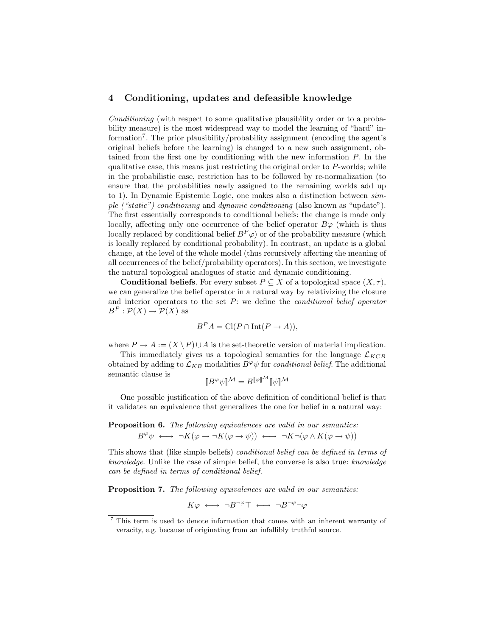## 4 Conditioning, updates and defeasible knowledge

Conditioning (with respect to some qualitative plausibility order or to a probability measure) is the most widespread way to model the learning of "hard" information<sup>7</sup>. The prior plausibility/probability assignment (encoding the agent's original beliefs before the learning) is changed to a new such assignment, obtained from the first one by conditioning with the new information P. In the qualitative case, this means just restricting the original order to P-worlds; while in the probabilistic case, restriction has to be followed by re-normalization (to ensure that the probabilities newly assigned to the remaining worlds add up to 1). In Dynamic Epistemic Logic, one makes also a distinction between simple ("static") conditioning and dynamic conditioning (also known as "update"). The first essentially corresponds to conditional beliefs: the change is made only locally, affecting only one occurrence of the belief operator  $B\varphi$  (which is thus locally replaced by conditional belief  $B^P \varphi$ ) or of the probability measure (which is locally replaced by conditional probability). In contrast, an update is a global change, at the level of the whole model (thus recursively affecting the meaning of all occurrences of the belief/probability operators). In this section, we investigate the natural topological analogues of static and dynamic conditioning.

**Conditional beliefs.** For every subset  $P \subseteq X$  of a topological space  $(X, \tau)$ , we can generalize the belief operator in a natural way by relativizing the closure and interior operators to the set  $P$ : we define the *conditional belief operator*  $B^P: \mathcal{P}(X) \to \mathcal{P}(X)$  as

$$
B^P A = \text{Cl}(P \cap \text{Int}(P \to A)),
$$

where  $P \to A := (X \setminus P) \cup A$  is the set-theoretic version of material implication.

This immediately gives us a topological semantics for the language  $\mathcal{L}_{KCB}$ obtained by adding to  $\mathcal{L}_{KB}$  modalities  $B^{\varphi}\psi$  for *conditional belief*. The additional semantic clause is

$$
\llbracket B^{\varphi} \psi \rrbracket^{\mathcal M} = B^{\llbracket \varphi \rrbracket^{\mathcal M}} \llbracket \psi \rrbracket^{\mathcal M}
$$

One possible justification of the above definition of conditional belief is that it validates an equivalence that generalizes the one for belief in a natural way:

Proposition 6. The following equivalences are valid in our semantics:  $B^{\varphi} \psi \longleftrightarrow \neg K(\varphi \to \neg K(\varphi \to \psi)) \longleftrightarrow \neg K \neg (\varphi \land K(\varphi \to \psi))$ 

This shows that (like simple beliefs) conditional belief can be defined in terms of knowledge. Unlike the case of simple belief, the converse is also true: knowledge can be defined in terms of conditional belief.

Proposition 7. The following equivalences are valid in our semantics:

 $K\varphi \iff \neg B^{\neg \varphi} \top \iff \neg B^{\neg \varphi} \neg \varphi$ 

<sup>7</sup> This term is used to denote information that comes with an inherent warranty of veracity, e.g. because of originating from an infallibly truthful source.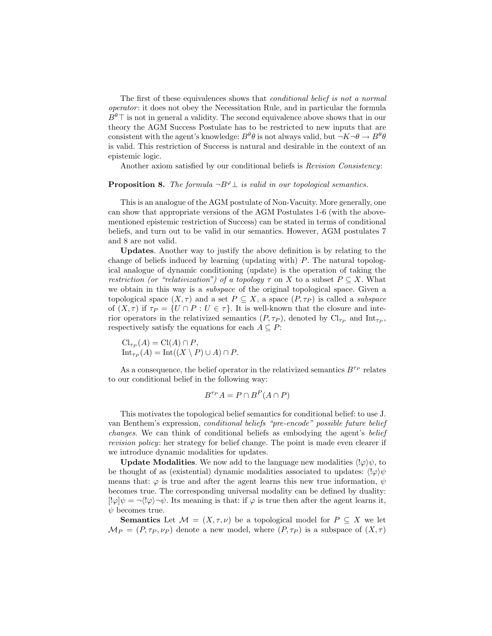The first of these equivalences shows that *conditional belief is not a normal* operator : it does not obey the Necessitation Rule, and in particular the formula  $B^{\theta}$ <sup>T</sup> is not in general a validity. The second equivalence above shows that in our theory the AGM Success Postulate has to be restricted to new inputs that are consistent with the agent's knowledge:  $B^{\theta}\theta$  is not always valid, but  $\neg K \neg \theta \to B^{\theta}\theta$ is valid. This restriction of Success is natural and desirable in the context of an epistemic logic.

Another axiom satisfied by our conditional beliefs is Revision Consistency:

## **Proposition 8.** The formula  $\neg B^{\varphi} \perp$  is valid in our topological semantics.

This is an analogue of the AGM postulate of Non-Vacuity. More generally, one can show that appropriate versions of the AGM Postulates 1-6 (with the abovementioned epistemic restriction of Success) can be stated in terms of conditional beliefs, and turn out to be valid in our semantics. However, AGM postulates 7 and 8 are not valid.

Updates. Another way to justify the above definition is by relating to the change of beliefs induced by learning (updating with) P. The natural topological analogue of dynamic conditioning (update) is the operation of taking the restriction (or "relativization") of a topology  $\tau$  on X to a subset  $P \subseteq X$ . What we obtain in this way is a subspace of the original topological space. Given a topological space  $(X, \tau)$  and a set  $P \subseteq X$ , a space  $(P, \tau_P)$  is called a *subspace* of  $(X, \tau)$  if  $\tau_P = \{U \cap P : U \in \tau\}$ . It is well-known that the closure and interior operators in the relativized semantics  $(P, \tau_P)$ , denoted by  $\text{Cl}_{\tau_P}$  and  $\text{Int}_{\tau_P}$ , respectively satisfy the equations for each  $A \subseteq P$ :

$$
\mathrm{Cl}_{\tau_P}(A) = \mathrm{Cl}(A) \cap P,
$$
  
\n
$$
\mathrm{Int}_{\tau_P}(A) = \mathrm{Int}((X \setminus P) \cup A) \cap P.
$$

As a consequence, the belief operator in the relativized semantics  $B^{\tau_P}$  relates to our conditional belief in the following way:

$$
B^{\tau_P}A = P \cap B^P(A \cap P)
$$

This motivates the topological belief semantics for conditional belief: to use J. van Benthem's expression, conditional beliefs "pre-encode" possible future belief changes. We can think of conditional beliefs as embodying the agent's belief revision policy: her strategy for belief change. The point is made even clearer if we introduce dynamic modalities for updates.

**Update Modalities.** We now add to the language new modalities  $\langle \cdot | \varphi \rangle \psi$ , to be thought of as (existential) dynamic modalities associated to updates:  $\langle |\varphi \rangle \psi$ means that:  $\varphi$  is true and after the agent learns this new true information,  $\psi$ becomes true. The corresponding universal modality can be defined by duality:  $[!\varphi]\psi = \neg \langle !\varphi \rangle \neg \psi$ . Its meaning is that: if  $\varphi$  is true then after the agent learns it,  $\psi$  becomes true.

**Semantics** Let  $\mathcal{M} = (X, \tau, \nu)$  be a topological model for  $P \subseteq X$  we let  $\mathcal{M}_P = (P, \tau_P, \nu_P)$  denote a new model, where  $(P, \tau_P)$  is a subspace of  $(X, \tau)$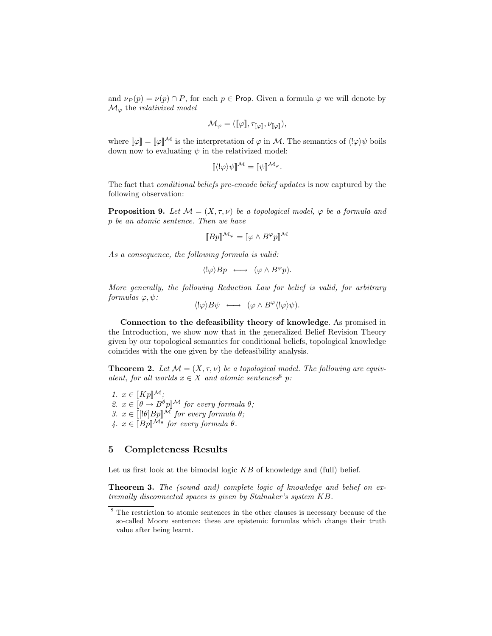and  $\nu_P(p) = \nu(p) \cap P$ , for each  $p \in \text{Prop.}$  Given a formula  $\varphi$  we will denote by  $\mathcal{M}_{\varphi}$  the relativized model

$$
\mathcal{M}_{\varphi} = (\llbracket \varphi \rrbracket, \tau_{\llbracket \varphi \rrbracket}, \nu_{\llbracket \varphi \rrbracket}),
$$

where  $\llbracket \varphi \rrbracket = \llbracket \varphi \rrbracket^{\mathcal{M}}$  is the interpretation of  $\varphi$  in M. The semantics of  $\langle \cdot | \varphi \rangle \psi$  boils down now to evaluating  $\psi$  in the relativized model:

$$
[\![\langle \cdot | \varphi \rangle \psi] \!]^{\mathcal{M}} = [\![\psi]\!]^{\mathcal{M}_{\varphi}}.
$$

The fact that conditional beliefs pre-encode belief updates is now captured by the following observation:

**Proposition 9.** Let  $M = (X, \tau, \nu)$  be a topological model,  $\varphi$  be a formula and p be an atomic sentence. Then we have

$$
[\![Bp]\!]^{\mathcal{M}_{\varphi}} = [\![\varphi \wedge B^{\varphi}p]\!]^{\mathcal{M}}
$$

As a consequence, the following formula is valid:

$$
\langle \,!\langle \varphi \rangle Bp \, \, \longleftrightarrow \, \, (\varphi \wedge B^{\varphi}p).
$$

More generally, the following Reduction Law for belief is valid, for arbitrary formulas  $\varphi, \psi$ :

$$
\langle \,!\langle \varphi \rangle B\psi \, \, \longleftrightarrow \, \, (\varphi \wedge B^{\varphi} \langle \,!\langle \varphi \rangle \psi).
$$

Connection to the defeasibility theory of knowledge. As promised in the Introduction, we show now that in the generalized Belief Revision Theory given by our topological semantics for conditional beliefs, topological knowledge coincides with the one given by the defeasibility analysis.

**Theorem 2.** Let  $\mathcal{M} = (X, \tau, \nu)$  be a topological model. The following are equivalent, for all worlds  $x \in X$  and atomic sentences<sup>8</sup> p:

1.  $x \in [Kp]^{\mathcal{M}};$ 2.  $x \in [\theta \to B^{\theta} p]^{\mathcal{M}}$  for every formula  $\theta$ ; 3.  $x \in [[\theta]Bp]^{\mathcal{M}}$  for every formula  $\theta$ ; 4.  $x \in [Bp]^{M_{\theta}}$  for every formula  $\theta$ .

# 5 Completeness Results

Let us first look at the bimodal logic  $KB$  of knowledge and (full) belief.

Theorem 3. The (sound and) complete logic of knowledge and belief on extremally disconnected spaces is given by Stalnaker's system KB.

<sup>8</sup> The restriction to atomic sentences in the other clauses is necessary because of the so-called Moore sentence: these are epistemic formulas which change their truth value after being learnt.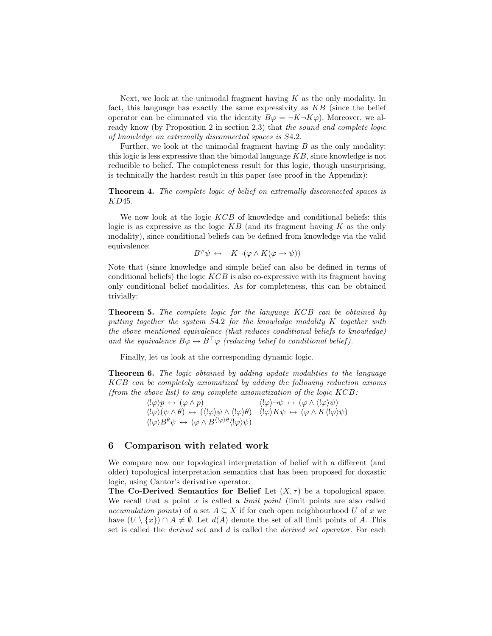Next, we look at the unimodal fragment having  $K$  as the only modality. In fact, this language has exactly the same expressivity as  $KB$  (since the belief operator can be eliminated via the identity  $B\varphi = \neg K \neg K\varphi$ . Moreover, we already know (by Proposition 2 in section 2.3) that the sound and complete logic of knowledge on extremally disconnected spaces is S4.2.

Further, we look at the unimodal fragment having  $B$  as the only modality: this logic is less expressive than the bimodal language  $KB$ , since knowledge is not reducible to belief. The completeness result for this logic, though unsurprising, is technically the hardest result in this paper (see proof in the Appendix):

Theorem 4. The complete logic of belief on extremally disconnected spaces is KD45.

We now look at the logic KCB of knowledge and conditional beliefs: this logic is as expressive as the logic  $KB$  (and its fragment having K as the only modality), since conditional beliefs can be defined from knowledge via the valid equivalence:

$$
B^{\varphi} \psi \leftrightarrow \neg K \neg (\varphi \land K(\varphi \to \psi))
$$

Note that (since knowledge and simple belief can also be defined in terms of conditional beliefs) the logic  $KCB$  is also co-expressive with its fragment having only conditional belief modalities. As for completeness, this can be obtained trivially:

**Theorem 5.** The complete logic for the language KCB can be obtained by putting together the system S4.2 for the knowledge modality K together with the above mentioned equivalence (that reduces conditional beliefs to knowledge) and the equivalence  $B\varphi \leftrightarrow B^{\top} \varphi$  (reducing belief to conditional belief).

Finally, let us look at the corresponding dynamic logic.

**Theorem 6.** The logic obtained by adding update modalities to the language KCB can be completely axiomatized by adding the following reduction axioms (from the above list) to any complete axiomatization of the logic KCB:

> $\langle |\varphi\rangle p \leftrightarrow (\varphi \wedge p)$   $\langle |\varphi\rangle \neg \psi \leftrightarrow (\varphi \wedge \langle |\varphi \rangle \psi)$  $\langle |\varphi\rangle(\psi \wedge \theta) \leftrightarrow (\langle |\varphi \rangle \psi \wedge \langle |\varphi \rangle \theta) \quad \langle |\varphi \rangle K \psi \leftrightarrow (\varphi \wedge K \langle |\varphi \rangle \psi)$  $\langle |\varphi\rangle B^{\theta}\psi \leftrightarrow (\varphi \wedge B^{\langle |\varphi \rangle \theta}\langle |\varphi \rangle \psi)$

# 6 Comparison with related work

We compare now our topological interpretation of belief with a different (and older) topological interpretation semantics that has been proposed for doxastic logic, using Cantor's derivative operator.

The Co-Derived Semantics for Belief Let  $(X, \tau)$  be a topological space. We recall that a point  $x$  is called a *limit point* (limit points are also called accumulation points) of a set  $A \subseteq X$  if for each open neighbourhood U of x we have  $(U \setminus \{x\}) \cap A \neq \emptyset$ . Let  $d(A)$  denote the set of all limit points of A. This set is called the derived set and d is called the derived set operator. For each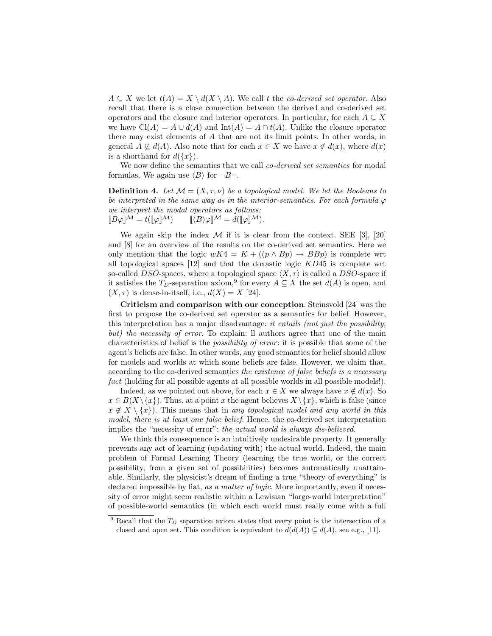$A \subseteq X$  we let  $t(A) = X \setminus d(X \setminus A)$ . We call t the co-derived set operator. Also recall that there is a close connection between the derived and co-derived set operators and the closure and interior operators. In particular, for each  $A \subseteq X$ we have  $Cl(A) = A \cup d(A)$  and  $Int(A) = A \cap t(A)$ . Unlike the closure operator there may exist elements of A that are not its limit points. In other words, in general  $A \nsubseteq d(A)$ . Also note that for each  $x \in X$  we have  $x \notin d(x)$ , where  $d(x)$ is a shorthand for  $d({x})$ .

We now define the semantics that we call *co-derived set semantics* for modal formulas. We again use  $\langle B \rangle$  for  $\neg B\neg$ .

**Definition 4.** Let  $\mathcal{M} = (X, \tau, \nu)$  be a topological model. We let the Booleans to be interpreted in the same way as in the interior-semantics. For each formula  $\varphi$ we interpret the modal operators as follows:  $[[B\varphi]]^{\mathcal{M}} = t([\varphi]]^{\mathcal{M}}) \qquad [[\langle B\rangle\varphi]]^{\mathcal{M}} = d([\varphi]]^{\mathcal{M}}).$ 

We again skip the index  $\mathcal M$  if it is clear from the context. SEE [3], [20] and [8] for an overview of the results on the co-derived set semantics. Here we only mention that the logic  $wK4 = K + ((p \wedge Bp) \rightarrow BBp)$  is complete wrt all topological spaces  $[12]$  and that the doxastic logic  $KD45$  is complete wrt so-called DSO-spaces, where a topological space  $\langle X, \tau \rangle$  is called a DSO-space if it satisfies the T<sub>D</sub>-separation axiom,<sup>9</sup> for every  $A \subseteq X$  the set  $d(A)$  is open, and  $(X, \tau)$  is dense-in-itself, i.e.,  $d(X) = X$  [24].

Criticism and comparison with our conception. Steinsvold [24] was the first to propose the co-derived set operator as a semantics for belief. However, this interpretation has a major disadvantage: it entails (not just the possibility, but) the necessity of error. To explain: ll authors agree that one of the main characteristics of belief is the possibility of error : it is possible that some of the agent's beliefs are false. In other words, any good semantics for belief should allow for models and worlds at which some beliefs are false. However, we claim that, according to the co-derived semantics the existence of false beliefs is a necessary fact (holding for all possible agents at all possible worlds in all possible models!).

Indeed, as we pointed out above, for each  $x \in X$  we always have  $x \notin d(x)$ . So  $x \in B(X \setminus \{x\})$ . Thus, at a point x the agent believes  $X \setminus \{x\}$ , which is false (since  $x \notin X \setminus \{x\}$ . This means that in any topological model and any world in this model, there is at least one false belief. Hence, the co-derived set interpretation implies the "necessity of error": the actual world is always dis-believed.

We think this consequence is an intuitively undesirable property. It generally prevents any act of learning (updating with) the actual world. Indeed, the main problem of Formal Learning Theory (learning the true world, or the correct possibility, from a given set of possibilities) becomes automatically unattainable. Similarly, the physicist's dream of finding a true "theory of everything" is declared impossible by fiat, as a matter of logic. More importantly, even if necessity of error might seem realistic within a Lewisian "large-world interpretation" of possible-world semantics (in which each world must really come with a full

 $9$  Recall that the  $T_D$  separation axiom states that every point is the intersection of a closed and open set. This condition is equivalent to  $d(d(A)) \subseteq d(A)$ , see e.g., [11].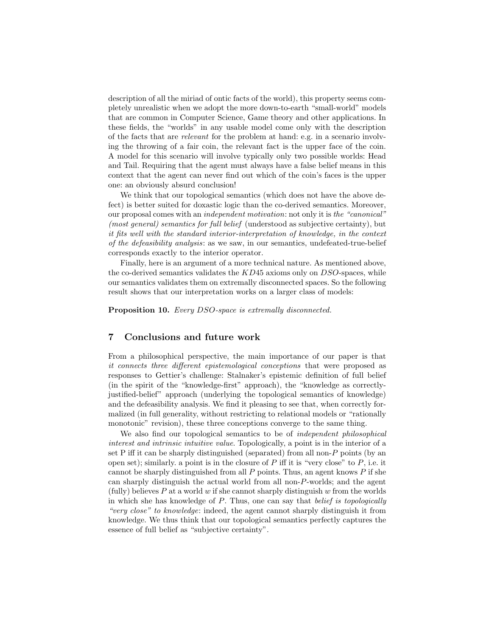description of all the miriad of ontic facts of the world), this property seems completely unrealistic when we adopt the more down-to-earth "small-world" models that are common in Computer Science, Game theory and other applications. In these fields, the "worlds" in any usable model come only with the description of the facts that are relevant for the problem at hand: e.g. in a scenario involving the throwing of a fair coin, the relevant fact is the upper face of the coin. A model for this scenario will involve typically only two possible worlds: Head and Tail. Requiring that the agent must always have a false belief means in this context that the agent can never find out which of the coin's faces is the upper one: an obviously absurd conclusion!

We think that our topological semantics (which does not have the above defect) is better suited for doxastic logic than the co-derived semantics. Moreover, our proposal comes with an independent motivation: not only it is the "canonical" (most general) semantics for full belief (understood as subjective certainty), but it fits well with the standard interior-interpretation of knowledge, in the context of the defeasibility analysis: as we saw, in our semantics, undefeated-true-belief corresponds exactly to the interior operator.

Finally, here is an argument of a more technical nature. As mentioned above, the co-derived semantics validates the  $KD45$  axioms only on  $DSO$ -spaces, while our semantics validates them on extremally disconnected spaces. So the following result shows that our interpretation works on a larger class of models:

Proposition 10. Every DSO-space is extremally disconnected.

# 7 Conclusions and future work

From a philosophical perspective, the main importance of our paper is that it connects three different epistemological conceptions that were proposed as responses to Gettier's challenge: Stalnaker's epistemic definition of full belief (in the spirit of the "knowledge-first" approach), the "knowledge as correctlyjustified-belief" approach (underlying the topological semantics of knowledge) and the defeasibility analysis. We find it pleasing to see that, when correctly formalized (in full generality, without restricting to relational models or "rationally monotonic" revision), these three conceptions converge to the same thing.

We also find our topological semantics to be of independent philosophical interest and intrinsic intuitive value. Topologically, a point is in the interior of a set P iff it can be sharply distinguished (separated) from all non-P points (by an open set); similarly, a point is in the closure of  $P$  iff it is "very close" to  $P$ , i.e. it cannot be sharply distinguished from all  $P$  points. Thus, an agent knows  $P$  if she can sharply distinguish the actual world from all non-P-worlds; and the agent (fully) believes  $P$  at a world  $w$  if she cannot sharply distinguish  $w$  from the worlds in which she has knowledge of P. Thus, one can say that belief is topologically "very close" to knowledge: indeed, the agent cannot sharply distinguish it from knowledge. We thus think that our topological semantics perfectly captures the essence of full belief as "subjective certainty".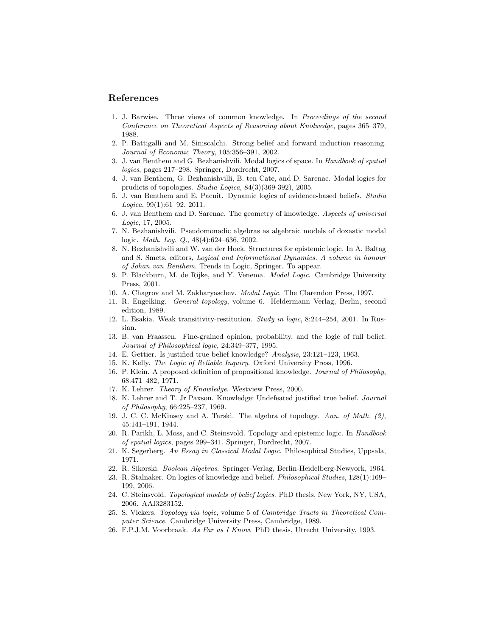### References

- 1. J. Barwise. Three views of common knowledge. In Proceedings of the second Conference on Theoretical Aspects of Reasoning about Knolwedge, pages 365–379, 1988.
- 2. P. Battigalli and M. Siniscalchi. Strong belief and forward induction reasoning. Journal of Economic Theory, 105:356–391, 2002.
- 3. J. van Benthem and G. Bezhanishvili. Modal logics of space. In Handbook of spatial logics, pages 217–298. Springer, Dordrecht, 2007.
- 4. J. van Benthem, G. Bezhanishvilli, B. ten Cate, and D. Sarenac. Modal logics for prudicts of topologies. Studia Logica, 84(3)(369-392), 2005.
- 5. J. van Benthem and E. Pacuit. Dynamic logics of evidence-based beliefs. Studia  $Logica$ ,  $99(1):61-92$ ,  $2011$ .
- 6. J. van Benthem and D. Sarenac. The geometry of knowledge. Aspects of universal Logic, 17, 2005.
- 7. N. Bezhanishvili. Pseudomonadic algebras as algebraic models of doxastic modal logic. Math. Log. Q., 48(4):624–636, 2002.
- 8. N. Bezhanishvili and W. van der Hoek. Structures for epistemic logic. In A. Baltag and S. Smets, editors, Logical and Informational Dynamics. A volume in honour of Johan van Benthem. Trends in Logic, Springer. To appear.
- 9. P. Blackburn, M. de Rijke, and Y. Venema. Modal Logic. Cambridge University Press, 2001.
- 10. A. Chagrov and M. Zakharyaschev. Modal Logic. The Clarendon Press, 1997.
- 11. R. Engelking. General topology, volume 6. Heldermann Verlag, Berlin, second edition, 1989.
- 12. L. Esakia. Weak transitivity-restitution. Study in logic, 8:244–254, 2001. In Russian.
- 13. B. van Fraassen. Fine-grained opinion, probability, and the logic of full belief. Journal of Philosophical logic, 24:349–377, 1995.
- 14. E. Gettier. Is justified true belief knowledge? Analysis, 23:121–123, 1963.
- 15. K. Kelly. The Logic of Reliable Inquiry. Oxford University Press, 1996.
- 16. P. Klein. A proposed definition of propositional knowledge. Journal of Philosophy, 68:471–482, 1971.
- 17. K. Lehrer. Theory of Knowledge. Westview Press, 2000.
- 18. K. Lehrer and T. Jr Paxson. Knowledge: Undefeated justified true belief. Journal of Philosophy, 66:225–237, 1969.
- 19. J. C. C. McKinsey and A. Tarski. The algebra of topology. Ann. of Math. (2), 45:141–191, 1944.
- 20. R. Parikh, L. Moss, and C. Steinsvold. Topology and epistemic logic. In Handbook of spatial logics, pages 299–341. Springer, Dordrecht, 2007.
- 21. K. Segerberg. An Essay in Classical Modal Logic. Philosophical Studies, Uppsala, 1971.
- 22. R. Sikorski. Boolean Algebras. Springer-Verlag, Berlin-Heidelberg-Newyork, 1964.
- 23. R. Stalnaker. On logics of knowledge and belief. Philosophical Studies, 128(1):169– 199, 2006.
- 24. C. Steinsvold. Topological models of belief logics. PhD thesis, New York, NY, USA, 2006. AAI3283152.
- 25. S. Vickers. Topology via logic, volume 5 of Cambridge Tracts in Theoretical Computer Science. Cambridge University Press, Cambridge, 1989.
- 26. F.P.J.M. Voorbraak. As Far as I Know. PhD thesis, Utrecht University, 1993.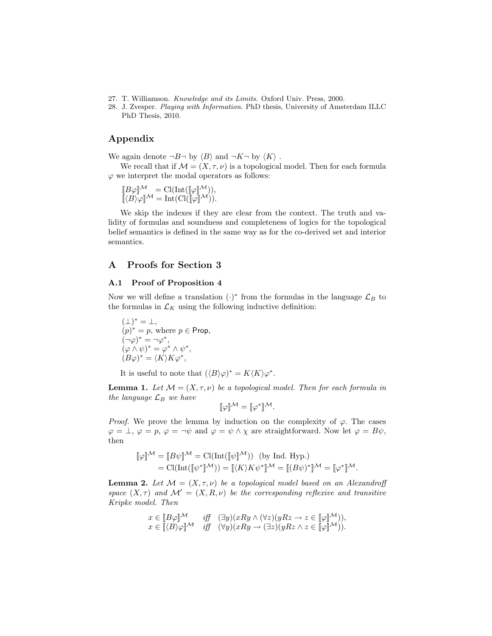- 27. T. Williamson. Knowledge and its Limits. Oxford Univ. Press, 2000.
- 28. J. Zvesper. Playing with Information. PhD thesis, University of Amsterdam ILLC PhD Thesis, 2010.

# Appendix

We again denote  $\neg B\neg$  by  $\langle B \rangle$  and  $\neg K\neg$  by  $\langle K \rangle$ .

We recall that if  $\mathcal{M} = (X, \tau, \nu)$  is a topological model. Then for each formula  $\varphi$  we interpret the modal operators as follows:

$$
\begin{array}{c}\n[B\varphi]\mathcal{M} = \text{Cl}(\text{Int}([\![\varphi]\!]^{\mathcal{M}})), \\
[\![\langle B\rangle\varphi]\!]^{\mathcal{M}} = \text{Int}(\text{Cl}([\![\varphi]\!]^{\mathcal{M}})).\n\end{array}
$$

We skip the indexes if they are clear from the context. The truth and validity of formulas and soundness and completeness of logics for the topological belief semantics is defined in the same way as for the co-derived set and interior semantics.

# A Proofs for Section 3

### A.1 Proof of Proposition 4

Now we will define a translation  $(\cdot)^*$  from the formulas in the language  $\mathcal{L}_B$  to the formulas in  $\mathcal{L}_K$  using the following inductive definition:

 $(\perp)^* = \perp,$  $(p)^* = p$ , where  $p \in$  Prop,  $(\neg \varphi)^* = \neg \varphi^*,$  $(\varphi \wedge \psi)^* = \varphi^* \wedge \psi^*,$  $(B\varphi)^* = \langle K \rangle K\varphi^*,$ 

It is useful to note that  $(\langle B \rangle \varphi)^* = K \langle K \rangle \varphi^*$ .

**Lemma 1.** Let  $M = (X, \tau, \nu)$  be a topological model. Then for each formula in the language  $\mathcal{L}_B$  we have

$$
\llbracket \varphi \rrbracket^{\mathcal{M}} = \llbracket \varphi^* \rrbracket^{\mathcal{M}}.
$$

*Proof.* We prove the lemma by induction on the complexity of  $\varphi$ . The cases  $\varphi = \bot, \varphi = p, \varphi = \neg \psi$  and  $\varphi = \psi \wedge \chi$  are straightforward. Now let  $\varphi = B\psi$ , then

$$
\llbracket \varphi \rrbracket^{\mathcal{M}} = \llbracket B\psi \rrbracket^{\mathcal{M}} = \text{Cl}(\text{Int}([\![\psi]\!]^{\mathcal{M}})) \text{ (by Ind. Hyp.)}
$$
  
= 
$$
\text{Cl}(\text{Int}([\![\psi^*]\!]^{\mathcal{M}})) = \llbracket \langle K \rangle K \psi^* \rrbracket^{\mathcal{M}} = \llbracket (B\psi)^* \rrbracket^{\mathcal{M}} = \llbracket \varphi^* \rrbracket^{\mathcal{M}}.
$$

**Lemma 2.** Let  $\mathcal{M} = (X, \tau, \nu)$  be a topological model based on an Alexandroff space  $(X, \tau)$  and  $\mathcal{M}' = (X, R, \nu)$  be the corresponding reflexive and transitive Kripke model. Then

$$
x \in [B\varphi]^{\mathcal{M}} \quad \text{iff} \quad (\exists y)(xRy \land (\forall z)(yRz \to z \in [\varphi]^{\mathcal{M}})),
$$
  

$$
x \in [(\beta)\varphi]^{\mathcal{M}} \quad \text{iff} \quad (\forall y)(xRy \to (\exists z)(yRz \land z \in [\varphi]^{\mathcal{M}})).
$$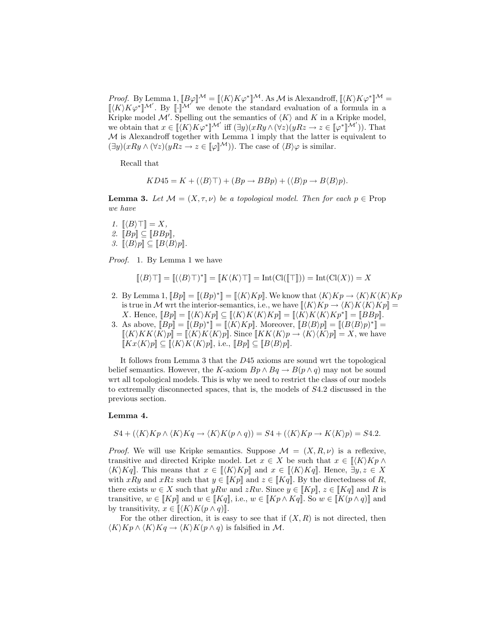*Proof.* By Lemma 1,  $[[B\varphi]]^{\mathcal{M}} = [[\langle K \rangle K\varphi^*]]^{\mathcal{M}}$ . As M is Alexandroff,  $[[\langle K \rangle K\varphi^*]]^{\mathcal{M}} =$  $\llbracket \langle K \rangle K\varphi^* \rrbracket^{\mathcal{M}'}$ . By  $\llbracket \cdot \rrbracket^{\mathcal{M}'}$  we denote the standard evaluation of a formula in a Kripke model  $\mathcal{M}'$ . Spelling out the semantics of  $\langle K \rangle$  and K in a Kripke model, we obtain that  $x \in \llbracket \langle K \rangle K \varphi^* \rrbracket^{\mathcal{M}'}$  iff  $(\exists y)(xRy \land (\forall z)(yRz \to z \in \llbracket \varphi^* \rrbracket^{\mathcal{M}'})$ ). That  $M$  is Alexandroff together with Lemma 1 imply that the latter is equivalent to  $(\exists y)(xRy \land (\forall z)(yRz \to z \in [\![\varphi]\!]^{\mathcal{M}})$ . The case of  $\langle B \rangle \varphi$  is similar.

Recall that

$$
KD45 = K + (\langle B \rangle \top) + (Bp \rightarrow BBp) + (\langle B \rangle p \rightarrow B \langle B \rangle p).
$$

**Lemma 3.** Let  $\mathcal{M} = (X, \tau, \nu)$  be a topological model. Then for each  $p \in \text{Prop}$ we have

1.  $\llbracket \langle B \rangle \top \rrbracket = X,$ 2.  $[BP] \subseteq [BBp]$ 3.  $[\langle B \rangle p] \subseteq [B \langle B \rangle p].$ 

Proof. 1. By Lemma 1 we have

$$
[\![\langle B\rangle\top]\!] = [\![\langle \langle B\rangle\top)^*]\!] = [\![K\langle K\rangle\top]\!] = \mathrm{Int}(\mathrm{Cl}([\![\top]\!])) = \mathrm{Int}(\mathrm{Cl}(X)) = X
$$

- 2. By Lemma 1,  $[ Bp ] = [(Bp)^* ] = [(K)Kp ]$ . We know that  $\langle K \rangle Kp \to \langle K \rangle K \langle K \rangle Kp$ is true in M wrt the interior-semantics, i.e., we have  $\llbracket \langle K \rangle Kp \to \langle K \rangle K \langle K \rangle Kp \llbracket$ X. Hence,  $[[Bp]] = [(K)Kp]] \subseteq [(K)K\langle K\rangle Kp]] = [(K)K\langle K\rangle Kp^*]] = [[BBp]].$
- 3. As above,  $[ Bp ] = [(Bp)^* ] = [(K)Kp ]$ . Moreover,  $[B\langle B\rangle p ] = [(B\langle B\rangle p)^* ] =$  $[\langle K \rangle K K \langle K \rangle p] = [\langle K \rangle K \langle K \rangle p]$ . Since  $[\langle K \rangle K \langle K \rangle p] \rightarrow \langle K \rangle \langle K \rangle p] = X$ , we have  $[[Kx\langle K\rangle p]] \subseteq [[\langle K\rangle K\langle K\rangle p]],$  i.e.,  $[[Bp]] \subseteq [[B\langle B\rangle p]].$

It follows from Lemma 3 that the D45 axioms are sound wrt the topological belief semantics. However, the K-axiom  $Bp \wedge Bq \to B(p \wedge q)$  may not be sound wrt all topological models. This is why we need to restrict the class of our models to extremally disconnected spaces, that is, the models of S4.2 discussed in the previous section.

### Lemma 4.

$$
S4 + (\langle K \rangle Kp \wedge \langle K \rangle Kq \rightarrow \langle K \rangle K(p \wedge q)) = S4 + (\langle K \rangle Kp \rightarrow K \langle K \rangle p) = S4.2.
$$

*Proof.* We will use Kripke semantics. Suppose  $\mathcal{M} = (X, R, \nu)$  is a reflexive, transitive and directed Kripke model. Let  $x \in X$  be such that  $x \in \mathcal{K}(K)Kp \wedge$  $\langle K \rangle K q$ . This means that  $x \in \langle K \rangle K p$  and  $x \in \langle K \rangle K q$ . Hence,  $\exists y, z \in X$ with xRy and xRz such that  $y \in [Kp]$  and  $z \in [Kq]$ . By the directedness of R, there exists  $w \in X$  such that  $yRw$  and  $zRw$ . Since  $y \in [Kp]$ ,  $z \in [Kq]$  and R is transitive,  $w \in [Kp]$  and  $w \in [Kq]$ , i.e.,  $w \in [Kp \wedge Kq]$ . So  $w \in [K(p \wedge q)]$  and by transitivity,  $x \in \llbracket \langle K \rangle K(p \wedge q) \rrbracket$ .

For the other direction, it is easy to see that if  $(X, R)$  is not directed, then  $\langle K \rangle K p \wedge \langle K \rangle K q \rightarrow \langle K \rangle K (p \wedge q)$  is falsified in M.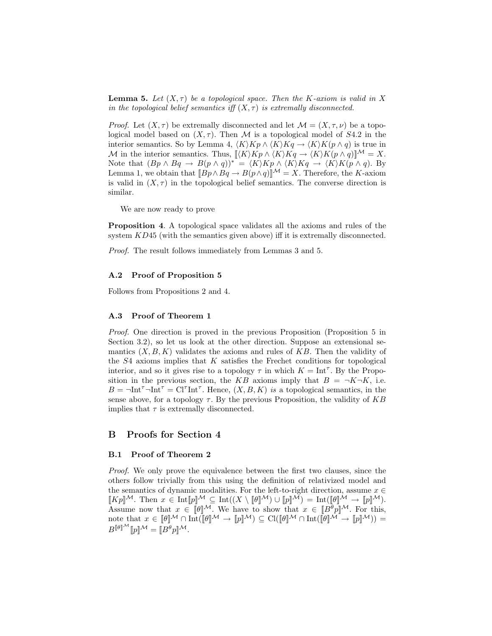**Lemma 5.** Let  $(X, \tau)$  be a topological space. Then the K-axiom is valid in X in the topological belief semantics iff  $(X, \tau)$  is extremally disconnected.

*Proof.* Let  $(X, \tau)$  be extremally disconnected and let  $\mathcal{M} = (X, \tau, \nu)$  be a topological model based on  $(X, \tau)$ . Then M is a topological model of S4.2 in the interior semantics. So by Lemma 4,  $\langle K \rangle Kp \wedge \langle K \rangle Kq \rightarrow \langle K \rangle K(p \wedge q)$  is true in M in the interior semantics. Thus,  $\llbracket \langle K \rangle Kp \wedge \langle K \rangle Kq \to \langle K \rangle K(p \wedge q)\rrbracket^{\mathcal{M}} = X.$ Note that  $(Bp \wedge Bq \to B(p \wedge q))^* = \langle K \rangle Kp \wedge \langle K \rangle Kq \to \langle K \rangle K(p \wedge q)$ . By Lemma 1, we obtain that  $[\overrightarrow{Bp} \wedge \overrightarrow{Bq} \to B(\overrightarrow{p} \wedge q)]^{\mathcal{M}} = X$ . Therefore, the K-axiom is valid in  $(X, \tau)$  in the topological belief semantics. The converse direction is similar.

We are now ready to prove

Proposition 4. A topological space validates all the axioms and rules of the system KD45 (with the semantics given above) iff it is extremally disconnected.

Proof. The result follows immediately from Lemmas 3 and 5.

#### A.2 Proof of Proposition 5

Follows from Propositions 2 and 4.

### A.3 Proof of Theorem 1

Proof. One direction is proved in the previous Proposition (Proposition 5 in Section 3.2), so let us look at the other direction. Suppose an extensional semantics  $(X, B, K)$  validates the axioms and rules of KB. Then the validity of the  $S4$  axioms implies that  $K$  satisfies the Frechet conditions for topological interior, and so it gives rise to a topology  $\tau$  in which  $K = \text{Int}^{\tau}$ . By the Proposition in the previous section, the KB axioms imply that  $B = \neg K \neg K$ , i.e.  $B = \text{-Int}^{\tau} \text{-Int}^{\tau} = \text{Cl}^{\tau} \text{Int}^{\tau}$ . Hence,  $(X, B, K)$  is a topological semantics, in the sense above, for a topology  $\tau$ . By the previous Proposition, the validity of KB implies that  $\tau$  is extremally disconnected.

# B Proofs for Section 4

### B.1 Proof of Theorem 2

Proof. We only prove the equivalence between the first two clauses, since the others follow trivially from this using the definition of relativized model and the semantics of dynamic modalities. For the left-to-right direction, assume  $x \in$  $[[Kp]]^{\mathcal{M}}$ . Then  $x \in \text{Int}[p]^{\mathcal{M}} \subseteq \text{Int}((X \setminus [\![\theta]\!]^{\mathcal{M}}) \cup [![p]\!]^{\mathcal{M}}) = \text{Int}([\![\theta]\!]^{\mathcal{M}} \to [![p]\!]^{\mathcal{M}})$ . Assume now that  $x \in [\![\theta]\!]^{\mathcal{M}}$ . We have to show that  $x \in [\![B^{\theta}p]\!]^{\mathcal{M}}$ . For this, note that  $x \in [\![\theta]\!]^{\mathcal{M}} \cap \text{Int}([\![\theta]\!]^{\mathcal{M}} \to [\![p]\!]^{\mathcal{M}}) \subseteq \text{Cl}([\![\theta]\!]^{\mathcal{M}} \cap \text{Int}([\![\theta]\!]^{\mathcal{M}} \to [\![p]\!]^{\mathcal{M}})) =$  $B^{\llbracket \theta \rrbracket^{\cal M}}\llbracket p \rrbracket^{\cal M} = \llbracket B^\theta p \rrbracket^{\cal M}.$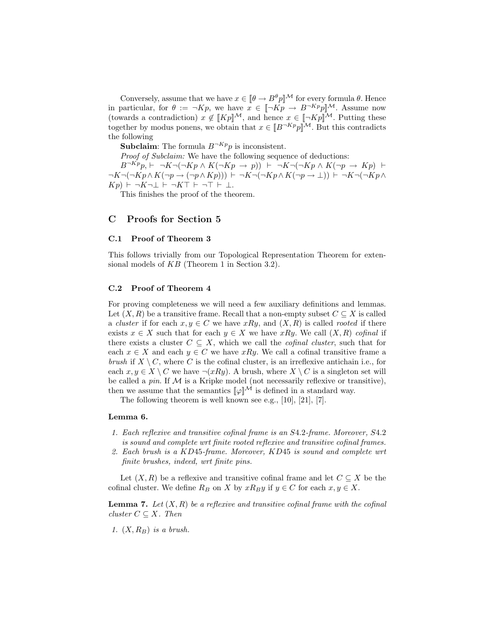Conversely, assume that we have  $x \in [\theta \to B^{\theta}p]^{\mathcal{M}}$  for every formula  $\theta$ . Hence in particular, for  $\theta := \neg Kp$ , we have  $x \in [\neg Kp \rightarrow B\neg Kp p]$ <sup>M</sup>. Assume now (towards a contradiction)  $x \notin [Kp]^\mathcal{M}$ , and hence  $x \in [-Kp]^\mathcal{M}$ . Putting these together by modus ponens, we obtain that  $x \in [B^{-Kp}p]^{M}$ . But this contradicts the following

**Subclaim:** The formula  $B^{-Kp}p$  is inconsistent.

Proof of Subclaim: We have the following sequence of deductions:  $B^{-Kp}p + \neg K\neg(\neg Kp \land K(\neg Kp \rightarrow p)) + \neg K\neg(\neg Kp \land K(\neg p \rightarrow Kp))$  $\neg K \neg(\neg Kp \land K(\neg p \rightarrow (\neg p \land Kp))) \vdash \neg K \neg(\neg Kp \land K(\neg p \rightarrow \bot)) \vdash \neg K \neg(\neg Kp \land$ 

 $Kp$   $\vdash \neg K\neg \bot \vdash \neg K\top \vdash \neg \top \vdash \bot.$ 

This finishes the proof of the theorem.

## C Proofs for Section 5

### C.1 Proof of Theorem 3

This follows trivially from our Topological Representation Theorem for extensional models of KB (Theorem 1 in Section 3.2).

### C.2 Proof of Theorem 4

For proving completeness we will need a few auxiliary definitions and lemmas. Let  $(X, R)$  be a transitive frame. Recall that a non-empty subset  $C \subseteq X$  is called a *cluster* if for each  $x, y \in C$  we have  $xRy$ , and  $(X, R)$  is called *rooted* if there exists  $x \in X$  such that for each  $y \in X$  we have  $xRy$ . We call  $(X, R)$  cofinal if there exists a cluster  $C \subseteq X$ , which we call the *cofinal cluster*, such that for each  $x \in X$  and each  $y \in C$  we have xRy. We call a cofinal transitive frame a brush if  $X \setminus C$ , where C is the cofinal cluster, is an irreflexive antichain i.e., for each  $x, y \in X \setminus C$  we have  $\neg(xRy)$ . A brush, where  $X \setminus C$  is a singleton set will be called a pin. If  $\mathcal M$  is a Kripke model (not necessarily reflexive or transitive), then we assume that the semantics  $[\varphi]^{\mathcal{M}}$  is defined in a standard way.

The following theorem is well known see e.g., [10], [21], [7].

#### Lemma 6.

- 1. Each reflexive and transitive cofinal frame is an S4.2-frame. Moreover, S4.2 is sound and complete wrt finite rooted reflexive and transitive cofinal frames.
- 2. Each brush is a KD45-frame. Moreover, KD45 is sound and complete wrt finite brushes, indeed, wrt finite pins.

Let  $(X, R)$  be a reflexive and transitive cofinal frame and let  $C \subseteq X$  be the cofinal cluster. We define  $R_B$  on X by  $xR_By$  if  $y \in C$  for each  $x, y \in X$ .

**Lemma 7.** Let  $(X, R)$  be a reflexive and transitive cofinal frame with the cofinal cluster  $C \subseteq X$ . Then

1.  $(X, R_B)$  is a brush.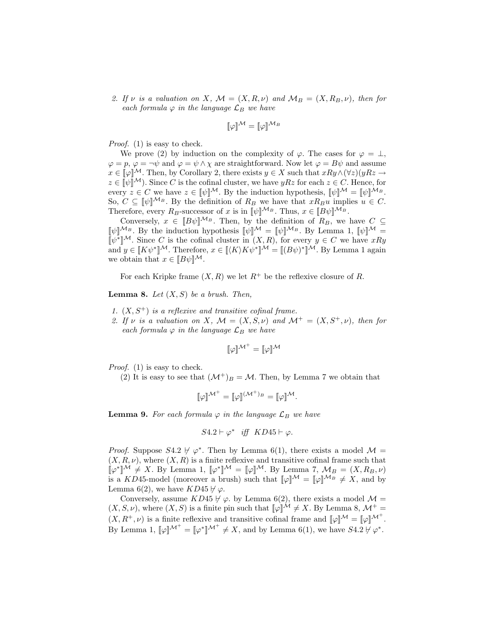2. If v is a valuation on X,  $\mathcal{M} = (X, R, \nu)$  and  $\mathcal{M}_B = (X, R_B, \nu)$ , then for each formula  $\varphi$  in the language  $\mathcal{L}_B$  we have

$$
[\![\varphi]\!]^{\mathcal{M}} = [\![\varphi]\!]^{\mathcal{M}_B}
$$

Proof. (1) is easy to check.

We prove (2) by induction on the complexity of  $\varphi$ . The cases for  $\varphi = \bot$ ,  $\varphi = p, \varphi = \neg \psi$  and  $\varphi = \psi \wedge \chi$  are straightforward. Now let  $\varphi = B\psi$  and assume  $x \in \llbracket \varphi \rrbracket^{\mathcal{M}}$ . Then, by Corollary 2, there exists  $y \in X$  such that  $xRy \wedge (\forall z)(yRz \rightarrow$  $z \in \llbracket \psi \rrbracket^{\mathcal{M}}$ . Since C is the cofinal cluster, we have  $yRz$  for each  $z \in C$ . Hence, for every  $z \in C$  we have  $z \in ||\psi||^{\mathcal{M}}$ . By the induction hypothesis,  $||\psi||^{\mathcal{M}} = ||\psi||^{\mathcal{M}_B}$ . So,  $C \subseteq \llbracket \psi \rrbracket^{\mathcal{M}_B}$ . By the definition of  $R_B$  we have that  $xR_Bu$  implies  $u \in C$ . Therefore, every  $R_B$ -successor of x is in  $[\![\psi]\!]^{\mathcal{M}_B}$ . Thus,  $x \in [B\psi]\!]^{\mathcal{M}_B}$ .

Conversely,  $x \in [B\psi]^{\mathcal{M}_B}$ . Then, by the definition of  $R_B$ , we have  $C \subseteq$  $[\![\psi]\!]^{\mathcal{M}_B}$ . By the induction hypothesis  $[\![\psi]\!]^{\mathcal{M}} = [\![\psi]\!]^{\mathcal{M}_B}$ . By Lemma 1,  $[\![\psi]\!]^{\mathcal{M}} =$ [ $\psi^*$ ]<sup>M</sup>. Since *C* is the cofinal cluster in  $(X, R)$ , for every  $y \in C$  we have xRy and  $y \in [K\psi^*]^{\mathcal{M}}$ . Therefore,  $x \in [(K)K\psi^*]^{\mathcal{M}} = [(B\psi)^*]^{\mathcal{M}}$ . By Lemma 1 again we obtain that  $x \in [B\psi]^{\mathcal{M}}$ .

For each Kripke frame  $(X, R)$  we let  $R^+$  be the reflexive closure of R.

**Lemma 8.** Let  $(X, S)$  be a brush. Then,

- 1.  $(X, S^+)$  is a reflexive and transitive cofinal frame.
- 2. If v is a valuation on X,  $\mathcal{M} = (X, S, \nu)$  and  $\mathcal{M}^+ = (X, S^+, \nu)$ , then for each formula  $\varphi$  in the language  $\mathcal{L}_B$  we have

$$
[\![\varphi]\!]^{\mathcal{M}^+}=[\![\varphi]\!]^{\mathcal{M}}
$$

Proof. (1) is easy to check.

(2) It is easy to see that  $({\cal M}^+)_B = {\cal M}$ . Then, by Lemma 7 we obtain that

$$
[\![\varphi]\!]^{\mathcal{M}^+} = [\![\varphi]\!]^{(\mathcal{M}^+)_B} = [\![\varphi]\!]^{\mathcal{M}}.
$$

**Lemma 9.** For each formula  $\varphi$  in the language  $\mathcal{L}_B$  we have

$$
S4.2 \vdash \varphi^* \quad \text{iff} \quad KD45 \vdash \varphi.
$$

*Proof.* Suppose  $S4.2 \nvdash \varphi^*$ . Then by Lemma 6(1), there exists a model  $\mathcal{M} =$  $(X, R, \nu)$ , where  $(X, R)$  is a finite reflexive and transitive cofinal frame such that  $[\![\varphi^*]\!]^{\mathcal{M}} \neq X$ . By Lemma 1,  $[\![\varphi^*]\!]^{\mathcal{M}} = [\![\varphi]\!]^{\mathcal{M}}$ . By Lemma 7,  $\mathcal{M}_B = (X, R_B, \nu)$ is a KD45-model (moreover a brush) such that  $\llbracket \varphi \rrbracket^{\mathcal{M}} = \llbracket \varphi \rrbracket^{\mathcal{M}_B} \neq X$ , and by Lemma 6(2), we have  $KD45 \nvdash \varphi$ .

Conversely, assume  $KD45 \nvdash \varphi$ . by Lemma 6(2), there exists a model  $\mathcal{M} =$  $(X, S, \nu)$ , where  $(X, S)$  is a finite pin such that  $\llbracket \varphi \rrbracket^{\mathcal{M}} \neq X$ . By Lemma 8,  $\mathcal{M}^+$  =  $(X, R^+, \nu)$  is a finite reflexive and transitive cofinal frame and  $[\![\varphi]\!]^{\mathcal{M}} = [\![\varphi]\!]^{\mathcal{M}^+}.$ By Lemma 1,  $\llbracket \varphi \rrbracket^{\mathcal{M}^+} = \llbracket \varphi^* \rrbracket^{\mathcal{M}^+} \neq X$ , and by Lemma 6(1), we have  $S4.2 \nvdash \varphi^*$ .